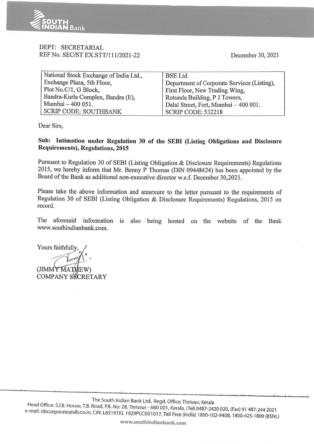

## DEPT: SECRETARIAL REF No. SEC/ST EX.STT/111/2021-22

December 30, 2021

| National Stock Exchange of India Ltd., | <b>BSE</b> Ltd.                             |  |
|----------------------------------------|---------------------------------------------|--|
| Exchange Plaza, 5th Floor,             | Department of Corporate Services (Listing), |  |
| Plot No.C/1, G Block,                  | First Floor, New Trading Wing,              |  |
| Bandra-Kurla Complex, Bandra (E),      | Rotunda Building, P J Towers,               |  |
| Mumbai - 400 051.                      | Dalal Street, Fort, Mumbai - 400 001.       |  |
| <b>SCRIP CODE: SOUTHBANK</b>           | <b>SCRIP CODE: 532218</b>                   |  |

Dear Sirs,

## **Sub: Intimation under Regulation 30 of the SEBI (Listing Obligations and Disclosure Requirements), Regulations, 2015**

Pursuant to Regulation 30 of SEBI (Listing Obligation & Disclosure Requirements) Regulations 2015, we hereby inform that Mr. Benny P Thomas (DIN 09448424) has been appointed by the Board of the Bank as additional non-executive director w.e.f. December 30,2021.

Please take the above information and annexure to the letter pursuant to the requirements of Regulation 30 of SEBI (Listing Obligation & Disclosure Requirements) Regulations, 2015 on record.

The aforesaid information is also being hosted on the website of the Bank www.southindianbank.com.

Yours faithfully,

(JIMMY MATHEW) COMPANY SECRETARY